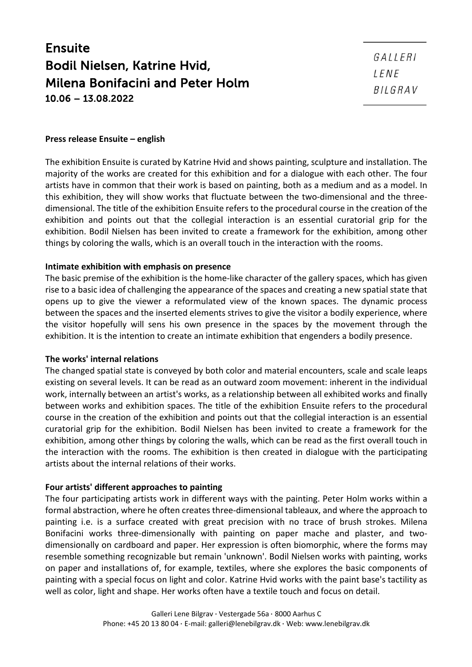# Ensuite Bodil Nielsen, Katrine Hvid, Milena Bonifacini and Peter Holm 10.06 – 13.08.2022

#### **Press release Ensuite – english**

The exhibition Ensuite is curated by Katrine Hvid and shows painting, sculpture and installation. The majority of the works are created for this exhibition and for a dialogue with each other. The four artists have in common that their work is based on painting, both as a medium and as a model. In this exhibition, they will show works that fluctuate between the two-dimensional and the threedimensional. The title of the exhibition Ensuite refers to the procedural course in the creation of the exhibition and points out that the collegial interaction is an essential curatorial grip for the exhibition. Bodil Nielsen has been invited to create a framework for the exhibition, among other things by coloring the walls, which is an overall touch in the interaction with the rooms.

### **Intimate exhibition with emphasis on presence**

The basic premise of the exhibition is the home-like character of the gallery spaces, which has given rise to a basic idea of challenging the appearance of the spaces and creating a new spatial state that opens up to give the viewer a reformulated view of the known spaces. The dynamic process between the spaces and the inserted elements strives to give the visitor a bodily experience, where the visitor hopefully will sens his own presence in the spaces by the movement through the exhibition. It is the intention to create an intimate exhibition that engenders a bodily presence.

## **The works' internal relations**

The changed spatial state is conveyed by both color and material encounters, scale and scale leaps existing on several levels. It can be read as an outward zoom movement: inherent in the individual work, internally between an artist's works, as a relationship between all exhibited works and finally between works and exhibition spaces. The title of the exhibition Ensuite refers to the procedural course in the creation of the exhibition and points out that the collegial interaction is an essential curatorial grip for the exhibition. Bodil Nielsen has been invited to create a framework for the exhibition, among other things by coloring the walls, which can be read as the first overall touch in the interaction with the rooms. The exhibition is then created in dialogue with the participating artists about the internal relations of their works.

## **Four artists' different approaches to painting**

The four participating artists work in different ways with the painting. Peter Holm works within a formal abstraction, where he often creates three-dimensional tableaux, and where the approach to painting i.e. is a surface created with great precision with no trace of brush strokes. Milena Bonifacini works three-dimensionally with painting on paper mache and plaster, and twodimensionally on cardboard and paper. Her expression is often biomorphic, where the forms may resemble something recognizable but remain 'unknown'. Bodil Nielsen works with painting, works on paper and installations of, for example, textiles, where she explores the basic components of painting with a special focus on light and color. Katrine Hvid works with the paint base's tactility as well as color, light and shape. Her works often have a textile touch and focus on detail.